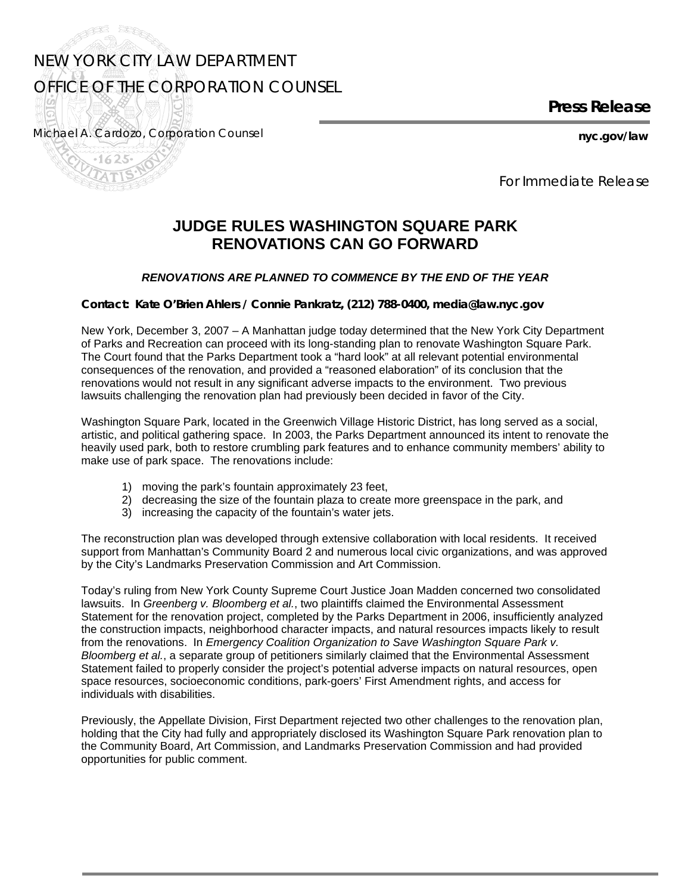## NEW YORK CITY LAW DEPARTMENT OFFICE OF THE CORPORATION COUNSEL

**Press Release** 

Michael A. Cardozo, *Corporation Counsel* **nyc.gov/law** 

F<sup>SS</sup>

and the second second second second the second second second second second second second second second second in  $\mathbb{R}^n$ 

*For Immediate Release* 

## **JUDGE RULES WASHINGTON SQUARE PARK RENOVATIONS CAN GO FORWARD**

## *RENOVATIONS ARE PLANNED TO COMMENCE BY THE END OF THE YEAR*

**Contact: Kate O'Brien Ahlers / Connie Pankratz, (212) 788-0400, media@law.nyc.gov** 

New York, December 3, 2007 – A Manhattan judge today determined that the New York City Department of Parks and Recreation can proceed with its long-standing plan to renovate Washington Square Park. The Court found that the Parks Department took a "hard look" at all relevant potential environmental consequences of the renovation, and provided a "reasoned elaboration" of its conclusion that the renovations would not result in any significant adverse impacts to the environment. Two previous lawsuits challenging the renovation plan had previously been decided in favor of the City.

Washington Square Park, located in the Greenwich Village Historic District, has long served as a social, artistic, and political gathering space. In 2003, the Parks Department announced its intent to renovate the heavily used park, both to restore crumbling park features and to enhance community members' ability to make use of park space. The renovations include:

- 1) moving the park's fountain approximately 23 feet,
- 2) decreasing the size of the fountain plaza to create more greenspace in the park, and
- 3) increasing the capacity of the fountain's water jets.

The reconstruction plan was developed through extensive collaboration with local residents. It received support from Manhattan's Community Board 2 and numerous local civic organizations, and was approved by the City's Landmarks Preservation Commission and Art Commission.

Today's ruling from New York County Supreme Court Justice Joan Madden concerned two consolidated lawsuits. In *Greenberg v. Bloomberg et al.*, two plaintiffs claimed the Environmental Assessment Statement for the renovation project, completed by the Parks Department in 2006, insufficiently analyzed the construction impacts, neighborhood character impacts, and natural resources impacts likely to result from the renovations. In *Emergency Coalition Organization to Save Washington Square Park v. Bloomberg et al.*, a separate group of petitioners similarly claimed that the Environmental Assessment Statement failed to properly consider the project's potential adverse impacts on natural resources, open space resources, socioeconomic conditions, park-goers' First Amendment rights, and access for individuals with disabilities.

Previously, the Appellate Division, First Department rejected two other challenges to the renovation plan, holding that the City had fully and appropriately disclosed its Washington Square Park renovation plan to the Community Board, Art Commission, and Landmarks Preservation Commission and had provided opportunities for public comment.